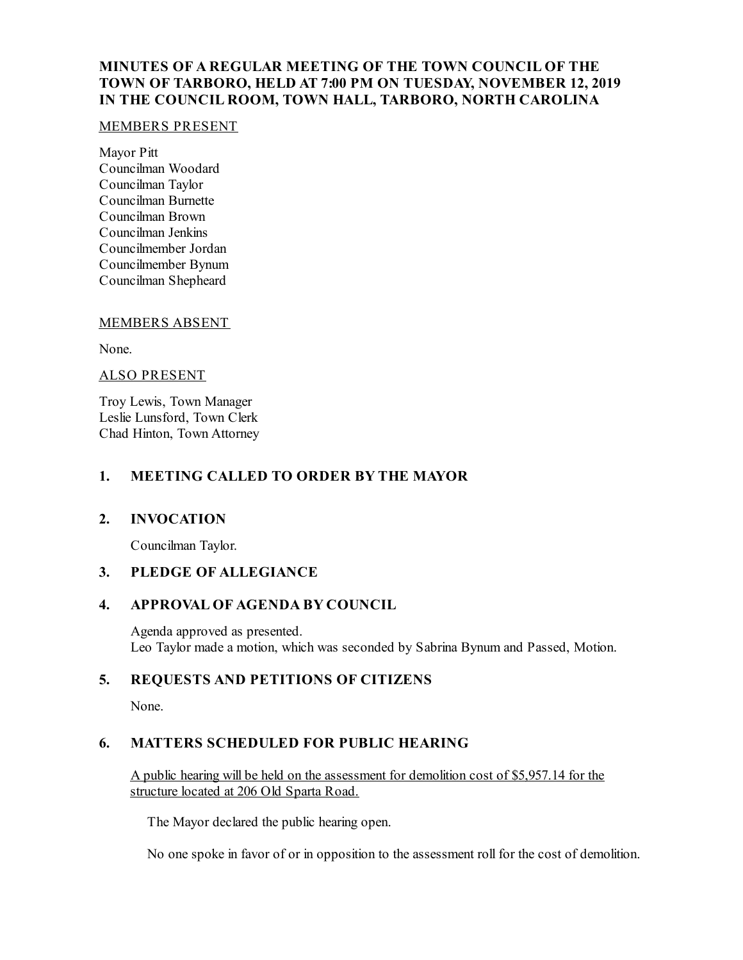# **MINUTES OF A REGULAR MEETING OF THE TOWN COUNCIL OF THE TOWN OF TARBORO, HELD AT 7:00 PM ON TUESDAY, NOVEMBER 12, 2019 IN THE COUNCIL ROOM, TOWN HALL, TARBORO, NORTH CAROLINA**

### MEMBERS PRESENT

Mayor Pitt Councilman Woodard Councilman Taylor Councilman Burnette Councilman Brown Councilman Jenkins Councilmember Jordan Councilmember Bynum Councilman Shepheard

## MEMBERS ABSENT

None.

## ALSO PRESENT

Troy Lewis, Town Manager Leslie Lunsford, Town Clerk Chad Hinton, Town Attorney

## **1. MEETING CALLED TO ORDER BY THE MAYOR**

## **2. INVOCATION**

Councilman Taylor.

# **3. PLEDGE OF ALLEGIANCE**

### **4. APPROVAL OF AGENDA BY COUNCIL**

Agenda approved as presented. Leo Taylor made a motion, which was seconded by Sabrina Bynum and Passed, Motion.

## **5. REQUESTS AND PETITIONS OF CITIZENS**

None.

## **6. MATTERS SCHEDULED FOR PUBLIC HEARING**

A public hearing will be held on the assessment for demolition cost of \$5,957.14 for the structure located at 206 Old Sparta Road.

The Mayor declared the public hearing open.

No one spoke in favor of or in opposition to the assessment roll for the cost of demolition.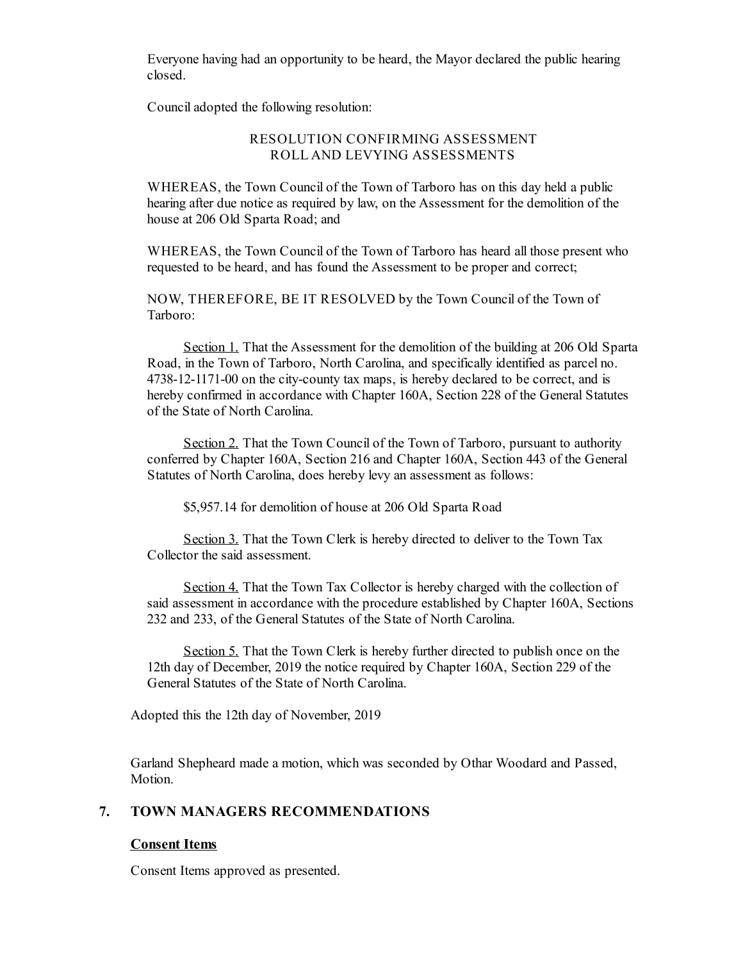Everyone having had an opportunity to be heard, the Mayor declared the public hearing closed.

Counciladopted the following resolution:

### RESOLUTION CONFIRMING ASSESSMENT ROLL AND LEVYING ASSESSMENTS

WHEREAS, the Town Council of the Town of Tarboro has on this day held a public hearing after due notice as required by law, on the Assessment for the demolition of the house at 206 Old Sparta Road; and

WHEREAS, the Town Council of the Town of Tarboro has heard all those present who requested to be heard, and has found the Assessment to be proper and correct;

NOW, THEREFORE, BE IT RESOLVED by the Town Council of the Town of Tarboro:

Section 1. That the Assessment for the demolition of the building at 206 Old Sparta Road, in the Town of Tarboro, North Carolina, and specifically identified as parcel no. 4738-12-1171-00 on the city-county tax maps, is hereby declared to be correct, and is hereby confirmed in accordance with Chapter 160A, Section 228 of the General Statutes of the State of North Carolina.

Section 2. That the Town Council of the Town of Tarboro, pursuant to authority conferred by Chapter 160A, Section 216 and Chapter 160A, Section 443 of the General Statutes of North Carolina, does hereby levy an assessment as follows:

\$5,957.14 for demolition of house at 206 Old Sparta Road

Section 3. That the Town Clerk is hereby directed to deliver to the Town Tax Collector the said assessment.

Section 4. That the Town Tax Collector is hereby charged with the collection of said assessment in accordance with the procedure established by Chapter 160A, Sections 232 and 233, of the General Statutes of the State of North Carolina.

Section 5. That the Town Clerk is hereby further directed to publish once on the 12th day of December, 2019 the notice required by Chapter 160A, Section 229 of the General Statutes of the State of North Carolina.

Adopted this the 12th day of November, 2019

Garland Shepheard made a motion, which was seconded by Othar Woodard and Passed, Motion.

### **7. TOWN MANAGERS RECOMMENDATIONS**

#### **Consent Items**

Consent Items approved as presented.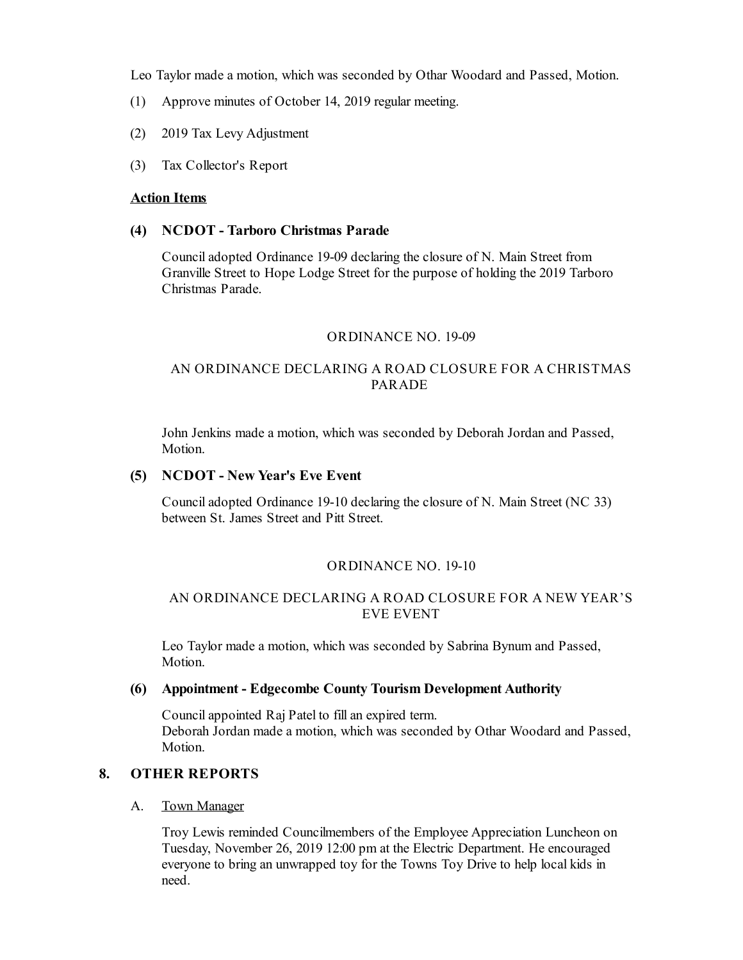Leo Taylor made a motion, which was seconded by Othar Woodard and Passed, Motion.

- (1) Approve minutes of October 14, 2019 regular meeting.
- (2) 2019 Tax Levy Adjustment
- (3) Tax Collector's Report

### **Action Items**

### **(4) NCDOT - Tarboro Christmas Parade**

Counciladopted Ordinance 19-09 declaring the closure of N. Main Street from Granville Street to Hope Lodge Street for the purpose of holding the 2019 Tarboro Christmas Parade.

### ORDINANCE NO. 19-09

## AN ORDINANCE DECLARING A ROAD CLOSURE FOR A CHRISTMAS PARADE

John Jenkins made a motion, which was seconded by Deborah Jordan and Passed, Motion.

## **(5) NCDOT - New Year's Eve Event**

Counciladopted Ordinance 19-10 declaring the closure of N. Main Street (NC 33) between St. James Street and Pitt Street.

#### ORDINANCE NO. 19-10

### AN ORDINANCE DECLARING A ROAD CLOSURE FOR A NEW YEAR'S EVE EVENT

Leo Taylor made a motion, which was seconded by Sabrina Bynum and Passed, Motion.

### **(6) Appointment - Edgecombe County Tourism Development Authority**

Councilappointed Raj Patel to fillan expired term. Deborah Jordan made a motion, which was seconded by Othar Woodard and Passed, Motion.

# **8. OTHER REPORTS**

#### A. Town Manager

Troy Lewis reminded Councilmembers of the Employee Appreciation Luncheon on Tuesday, November 26, 2019 12:00 pm at the Electric Department. He encouraged everyone to bring an unwrapped toy for the Towns Toy Drive to help local kids in need.